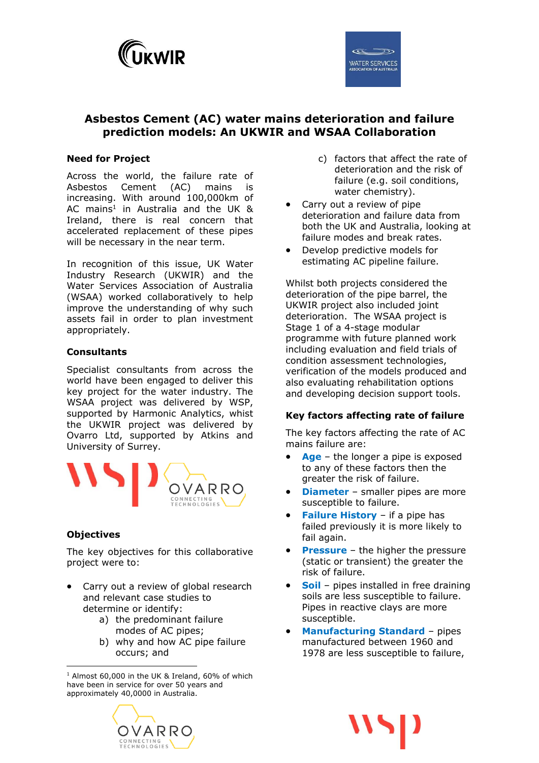

# **Asbestos Cement (AC) water mains deterioration and failure prediction models: An UKWIR and WSAA Collaboration**

### **Need for Project**

Across the world, the failure rate of Asbestos Cement (AC) mains is increasing. With around 100,000km of AC mains<sup>1</sup> in Australia and the UK & Ireland, there is real concern that accelerated replacement of these pipes will be necessary in the near term.

In recognition of this issue, UK Water Industry Research (UKWIR) and the Water Services Association of Australia (WSAA) worked collaboratively to help improve the understanding of why such assets fail in order to plan investment appropriately.

### **Consultants**

Specialist consultants from across the world have been engaged to deliver this key project for the water industry. The WSAA project was delivered by WSP, supported by Harmonic Analytics, whist the UKWIR project was delivered by Ovarro Ltd, supported by Atkins and University of Surrey.



### **Objectives**

The key objectives for this collaborative project were to:

- Carry out a review of global research and relevant case studies to determine or identify:
	- a) the predominant failure modes of AC pipes;
	- b) why and how AC pipe failure occurs; and

 $\overline{a}$  $1$  Almost 60,000 in the UK & Ireland, 60% of which have been in service for over 50 years and approximately 40,0000 in Australia.



- c) factors that affect the rate of deterioration and the risk of failure (e.g. soil conditions, water chemistry).
- Carry out a review of pipe deterioration and failure data from both the UK and Australia, looking at failure modes and break rates.
- Develop predictive models for estimating AC pipeline failure.

Whilst both projects considered the deterioration of the pipe barrel, the UKWIR project also included joint deterioration. The WSAA project is Stage 1 of a 4-stage modular programme with future planned work including evaluation and field trials of condition assessment technologies, verification of the models produced and also evaluating rehabilitation options and developing decision support tools.

#### **Key factors affecting rate of failure**

The key factors affecting the rate of AC mains failure are:

- **Age**  the longer a pipe is exposed to any of these factors then the greater the risk of failure.
- **Diameter** smaller pipes are more susceptible to failure.
- **Failure History**  if a pipe has failed previously it is more likely to fail again.
- **Pressure** the higher the pressure (static or transient) the greater the risk of failure.
- **Soil** pipes installed in free draining soils are less susceptible to failure. Pipes in reactive clays are more susceptible.
- **Manufacturing Standard** pipes manufactured between 1960 and 1978 are less susceptible to failure,

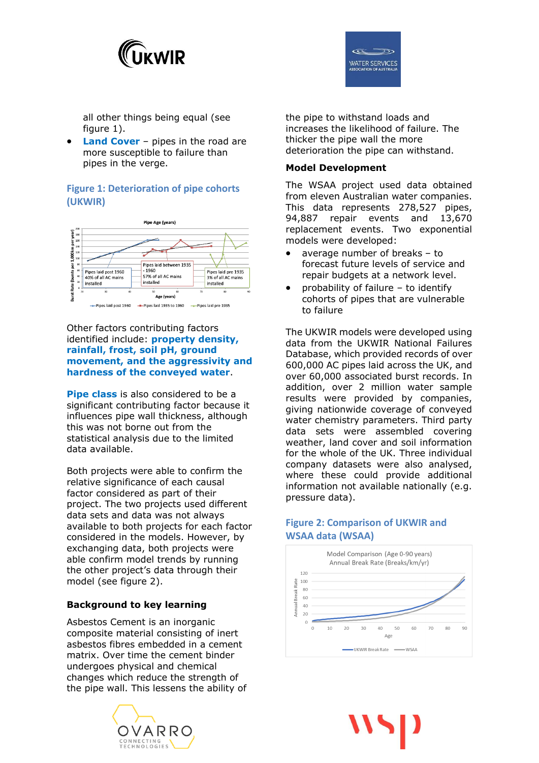



all other things being equal (see figure 1).

 **Land Cover** – pipes in the road are more susceptible to failure than pipes in the verge.

### **Figure 1: Deterioration of pipe cohorts (UKWIR)**



#### Other factors contributing factors identified include: **property density, rainfall, frost, soil pH, ground movement, and the aggressivity and hardness of the conveyed water**.

**Pipe class** is also considered to be a significant contributing factor because it influences pipe wall thickness, although this was not borne out from the statistical analysis due to the limited data available.

Both projects were able to confirm the relative significance of each causal factor considered as part of their project. The two projects used different data sets and data was not always available to both projects for each factor considered in the models. However, by exchanging data, both projects were able confirm model trends by running the other project's data through their model (see figure 2).

### **Background to key learning**

Asbestos Cement is an inorganic composite material consisting of inert asbestos fibres embedded in a cement matrix. Over time the cement binder undergoes physical and chemical changes which reduce the strength of the pipe wall. This lessens the ability of



the pipe to withstand loads and increases the likelihood of failure. The thicker the pipe wall the more deterioration the pipe can withstand.

#### **Model Development**

The WSAA project used data obtained from eleven Australian water companies. This data represents 278,527 pipes, 94,887 repair events and 13,670 replacement events. Two exponential models were developed:

- average number of breaks to forecast future levels of service and repair budgets at a network level.
- probability of failure to identify cohorts of pipes that are vulnerable to failure

The UKWIR models were developed using data from the UKWIR National Failures Database, which provided records of over 600,000 AC pipes laid across the UK, and over 60,000 associated burst records. In addition, over 2 million water sample results were provided by companies, giving nationwide coverage of conveyed water chemistry parameters. Third party data sets were assembled covering weather, land cover and soil information for the whole of the UK. Three individual company datasets were also analysed, where these could provide additional information not available nationally (e.g. pressure data).

## **Figure 2: Comparison of UKWIR and WSAA data (WSAA)**